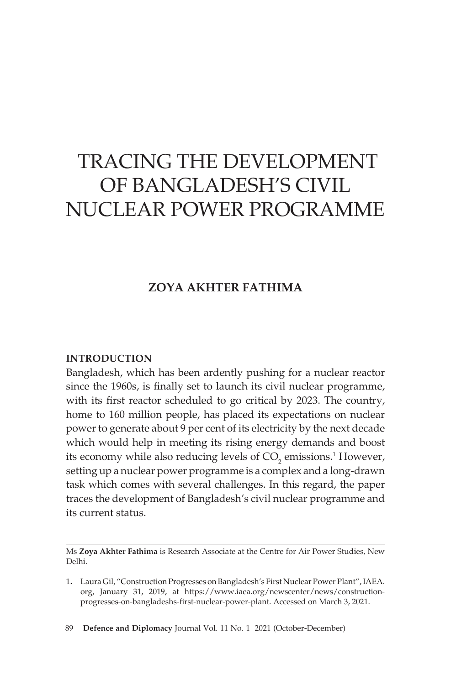# TRACING THE DEVELOPMENT OF BANGLADESH'S CIVIL NUCLEAR POWER PROGRAMME

## **ZOYA AKHTER FATHIMA**

#### **INTRODUCTION**

Bangladesh, which has been ardently pushing for a nuclear reactor since the 1960s, is finally set to launch its civil nuclear programme, with its first reactor scheduled to go critical by 2023. The country, home to 160 million people, has placed its expectations on nuclear power to generate about 9 per cent of its electricity by the next decade which would help in meeting its rising energy demands and boost its economy while also reducing levels of  $CO<sub>2</sub>$  emissions.<sup>1</sup> However, setting up a nuclear power programme is a complex and a long-drawn task which comes with several challenges. In this regard, the paper traces the development of Bangladesh's civil nuclear programme and its current status.

Ms **Zoya Akhter Fathima** is Research Associate at the Centre for Air Power Studies, New Delhi.

89 **Defence and Diplomacy** Journal Vol. 11 No. 1 2021 (October-December)

<sup>1.</sup> Laura Gil, "Construction Progresses on Bangladesh's First Nuclear Power Plant",IAEA. org, January 31, 2019, at https://www.iaea.org/newscenter/news/constructionprogresses-on-bangladeshs-first-nuclear-power-plant. Accessed on March 3, 2021.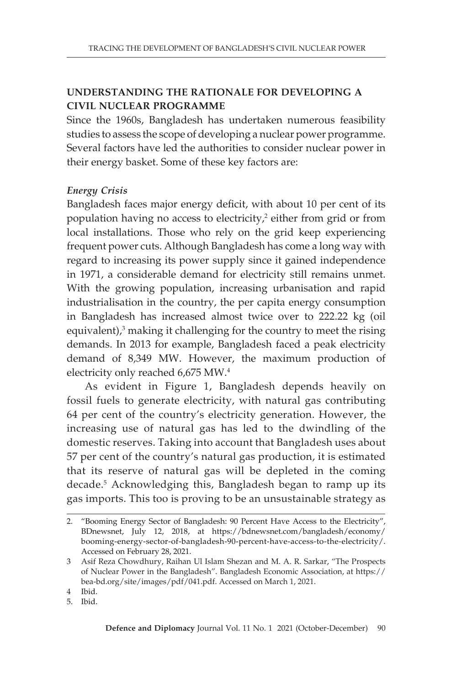## **UNDERSTANDING THE RATIONALE FOR DEVELOPING A CIVIL NUCLEAR PROGRAMME**

Since the 1960s, Bangladesh has undertaken numerous feasibility studies to assess the scope of developing a nuclear power programme. Several factors have led the authorities to consider nuclear power in their energy basket. Some of these key factors are:

## *Energy Crisis*

Bangladesh faces major energy deficit, with about 10 per cent of its population having no access to electricity,<sup>2</sup> either from grid or from local installations. Those who rely on the grid keep experiencing frequent power cuts. Although Bangladesh has come a long way with regard to increasing its power supply since it gained independence in 1971, a considerable demand for electricity still remains unmet. With the growing population, increasing urbanisation and rapid industrialisation in the country, the per capita energy consumption in Bangladesh has increased almost twice over to 222.22 kg (oil equivalent), $3$  making it challenging for the country to meet the rising demands. In 2013 for example, Bangladesh faced a peak electricity demand of 8,349 MW. However, the maximum production of electricity only reached 6,675 MW.4

As evident in Figure 1, Bangladesh depends heavily on fossil fuels to generate electricity, with natural gas contributing 64 per cent of the country's electricity generation. However, the increasing use of natural gas has led to the dwindling of the domestic reserves. Taking into account that Bangladesh uses about 57 per cent of the country's natural gas production, it is estimated that its reserve of natural gas will be depleted in the coming decade.5 Acknowledging this, Bangladesh began to ramp up its gas imports. This too is proving to be an unsustainable strategy as

4 Ibid.

5. Ibid.

<sup>2.</sup> "Booming Energy Sector of Bangladesh: 90 Percent Have Access to the Electricity", BDnewsnet, July 12, 2018, at https://bdnewsnet.com/bangladesh/economy/ booming-energy-sector-of-bangladesh-90-percent-have-access-to-the-electricity/. Accessed on February 28, 2021.

<sup>3</sup> Asif Reza Chowdhury, Raihan Ul Islam Shezan and M. A. R. Sarkar, "The Prospects of Nuclear Power in the Bangladesh". Bangladesh Economic Association, at https:// bea-bd.org/site/images/pdf/041.pdf. Accessed on March 1, 2021.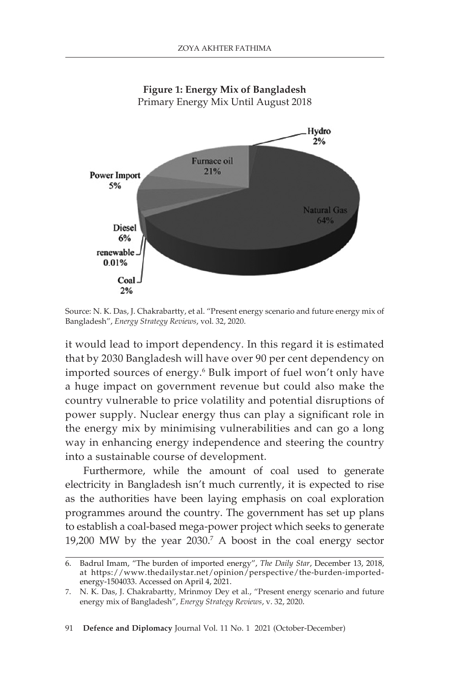

Source: N. K. Das, J. Chakrabartty, et al. "Present energy scenario and future energy mix of Bangladesh", *Energy Strategy Reviews*, vol. 32, 2020.

it would lead to import dependency. In this regard it is estimated that by 2030 Bangladesh will have over 90 per cent dependency on imported sources of energy.<sup>6</sup> Bulk import of fuel won't only have a huge impact on government revenue but could also make the country vulnerable to price volatility and potential disruptions of power supply. Nuclear energy thus can play a significant role in the energy mix by minimising vulnerabilities and can go a long way in enhancing energy independence and steering the country into a sustainable course of development.

Furthermore, while the amount of coal used to generate electricity in Bangladesh isn't much currently, it is expected to rise as the authorities have been laying emphasis on coal exploration programmes around the country. The government has set up plans to establish a coal-based mega-power project which seeks to generate 19,200 MW by the year 2030.7 A boost in the coal energy sector

91 **Defence and Diplomacy** Journal Vol. 11 No. 1 2021 (October-December)

<sup>6.</sup> Badrul Imam, "The burden of imported energy", *The Daily Star*, December 13, 2018, at https://www.thedailystar.net/opinion/perspective/the-burden-importedenergy-1504033. Accessed on April 4, 2021.

<sup>7</sup>. N. K. Das, J. Chakrabartty, Mrinmoy Dey et al., "Present energy scenario and future energy mix of Bangladesh", *Energy Strategy Reviews*, v. 32, 2020.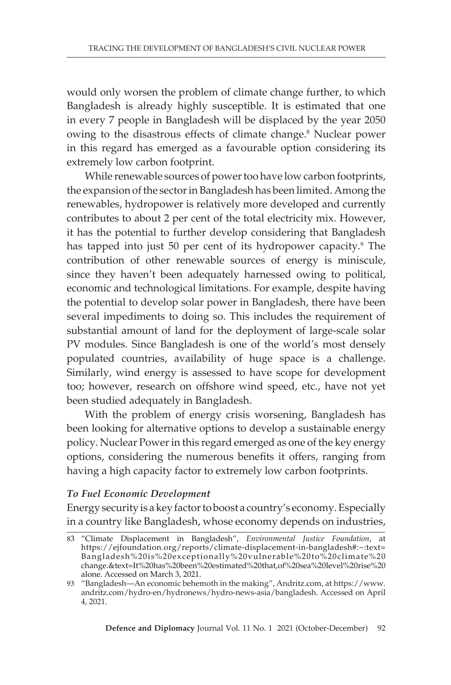would only worsen the problem of climate change further, to which Bangladesh is already highly susceptible. It is estimated that one in every 7 people in Bangladesh will be displaced by the year 2050 owing to the disastrous effects of climate change.<sup>8</sup> Nuclear power in this regard has emerged as a favourable option considering its extremely low carbon footprint.

While renewable sources of power too have low carbon footprints, the expansion of the sector in Bangladesh has been limited. Among the renewables, hydropower is relatively more developed and currently contributes to about 2 per cent of the total electricity mix. However, it has the potential to further develop considering that Bangladesh has tapped into just 50 per cent of its hydropower capacity.<sup>9</sup> The contribution of other renewable sources of energy is miniscule, since they haven't been adequately harnessed owing to political, economic and technological limitations. For example, despite having the potential to develop solar power in Bangladesh, there have been several impediments to doing so. This includes the requirement of substantial amount of land for the deployment of large-scale solar PV modules. Since Bangladesh is one of the world's most densely populated countries, availability of huge space is a challenge. Similarly, wind energy is assessed to have scope for development too; however, research on offshore wind speed, etc., have not yet been studied adequately in Bangladesh.

With the problem of energy crisis worsening, Bangladesh has been looking for alternative options to develop a sustainable energy policy. Nuclear Power in this regard emerged as one of the key energy options, considering the numerous benefits it offers, ranging from having a high capacity factor to extremely low carbon footprints.

#### *To Fuel Economic Development*

Energy security is a key factor to boost a country's economy. Especially in a country like Bangladesh, whose economy depends on industries,

<sup>8</sup>3 "Climate Displacement in Bangladesh", *Environmental Justice Foundation*, at https://ejfoundation.org/reports/climate-displacement-in-bangladesh#:~:text= Bangladesh%20is%20exceptionally%20vulnerable%20to%20climate%20 change.&text=It%20has%20been%20estimated%20that,of%20sea%20level%20rise%20 alone. Accessed on March 3, 2021.

<sup>93</sup> "Bangladesh—An economic behemoth in the making", Andritz.com, at https://www. andritz.com/hydro-en/hydronews/hydro-news-asia/bangladesh. Accessed on April 4, 2021.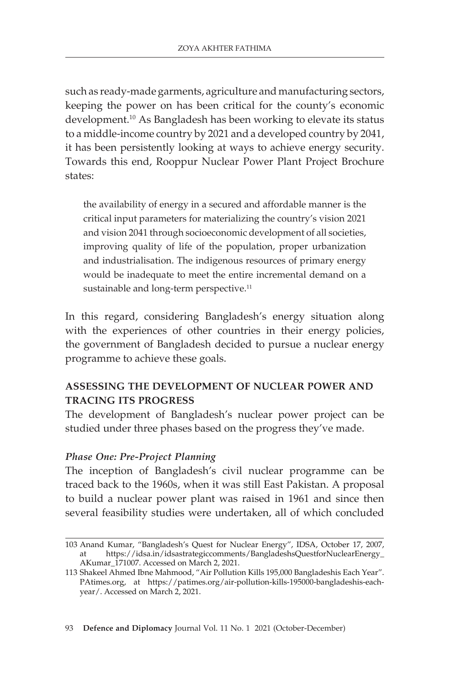such as ready-made garments, agriculture and manufacturing sectors, keeping the power on has been critical for the county's economic development.<sup>10</sup> As Bangladesh has been working to elevate its status to a middle-income country by 2021 and a developed country by 2041, it has been persistently looking at ways to achieve energy security. Towards this end, Rooppur Nuclear Power Plant Project Brochure states:

the availability of energy in a secured and affordable manner is the critical input parameters for materializing the country's vision 2021 and vision 2041 through socioeconomic development of all societies, improving quality of life of the population, proper urbanization and industrialisation. The indigenous resources of primary energy would be inadequate to meet the entire incremental demand on a sustainable and long-term perspective.<sup>11</sup>

In this regard, considering Bangladesh's energy situation along with the experiences of other countries in their energy policies, the government of Bangladesh decided to pursue a nuclear energy programme to achieve these goals.

## **ASSESSING THE DEVELOPMENT OF NUCLEAR POWER AND TRACING ITS PROGRESS**

The development of Bangladesh's nuclear power project can be studied under three phases based on the progress they've made.

## *Phase One: Pre-Project Planning*

The inception of Bangladesh's civil nuclear programme can be traced back to the 1960s, when it was still East Pakistan. A proposal to build a nuclear power plant was raised in 1961 and since then several feasibility studies were undertaken, all of which concluded

<sup>103</sup> Anand Kumar, "Bangladesh's Quest for Nuclear Energy", IDSA, October 17, 2007, https://idsa.in/idsastrategiccomments/BangladeshsQuestforNuclearEnergy\_ AKumar\_171007. Accessed on March 2, 2021.

<sup>113</sup> Shakeel Ahmed Ibne Mahmood, "Air Pollution Kills 195,000 Bangladeshis Each Year". PAtimes.org, at https://patimes.org/air-pollution-kills-195000-bangladeshis-eachyear/. Accessed on March 2, 2021.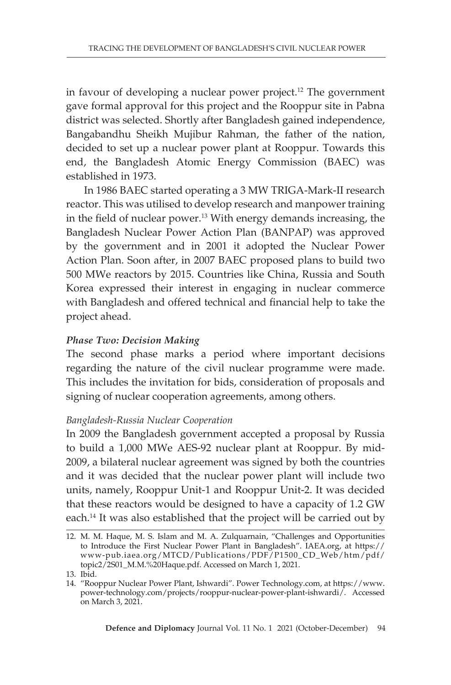in favour of developing a nuclear power project.<sup>12</sup> The government gave formal approval for this project and the Rooppur site in Pabna district was selected. Shortly after Bangladesh gained independence, Bangabandhu Sheikh Mujibur Rahman, the father of the nation, decided to set up a nuclear power plant at Rooppur. Towards this end, the Bangladesh Atomic Energy Commission (BAEC) was established in 1973.

In 1986 BAEC started operating a 3 MW TRIGA-Mark-II research reactor. This was utilised to develop research and manpower training in the field of nuclear power.<sup>13</sup> With energy demands increasing, the Bangladesh Nuclear Power Action Plan (BANPAP) was approved by the government and in 2001 it adopted the Nuclear Power Action Plan. Soon after, in 2007 BAEC proposed plans to build two 500 MWe reactors by 2015. Countries like China, Russia and South Korea expressed their interest in engaging in nuclear commerce with Bangladesh and offered technical and financial help to take the project ahead.

## *Phase Two: Decision Making*

The second phase marks a period where important decisions regarding the nature of the civil nuclear programme were made. This includes the invitation for bids, consideration of proposals and signing of nuclear cooperation agreements, among others.

#### *Bangladesh-Russia Nuclear Cooperation*

In 2009 the Bangladesh government accepted a proposal by Russia to build a 1,000 MWe AES-92 nuclear plant at Rooppur. By mid-2009, a bilateral nuclear agreement was signed by both the countries and it was decided that the nuclear power plant will include two units, namely, Rooppur Unit-1 and Rooppur Unit-2. It was decided that these reactors would be designed to have a capacity of 1.2 GW each.<sup>14</sup> It was also established that the project will be carried out by

<sup>12.</sup> M. M. Haque, M. S. Islam and M. A. Zulquarnain, "Challenges and Opportunities to Introduce the First Nuclear Power Plant in Bangladesh". IAEA.org, at https:// www-pub.iaea.org/MTCD/Publications/PDF/P1500\_CD\_Web/htm/pdf/ topic2/2S01\_M.M.%20Haque.pdf. Accessed on March 1, 2021.

<sup>13.</sup> Ibid.

<sup>14.</sup> "Rooppur Nuclear Power Plant, Ishwardi". Power Technology.com, at https://www. power-technology.com/projects/rooppur-nuclear-power-plant-ishwardi/. Accessed on March 3, 2021.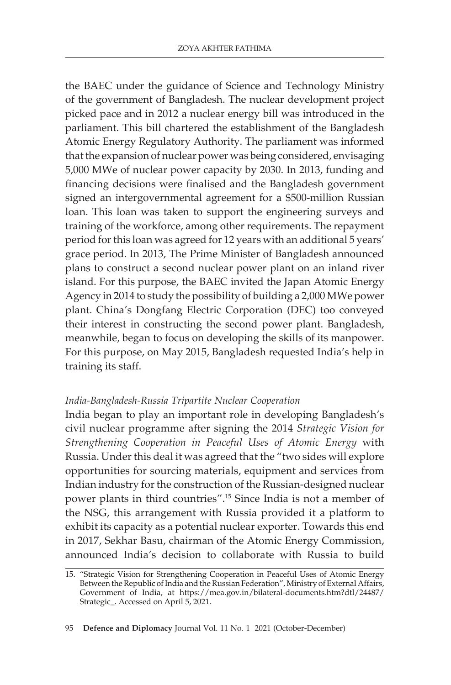the BAEC under the guidance of Science and Technology Ministry of the government of Bangladesh. The nuclear development project picked pace and in 2012 a nuclear energy bill was introduced in the parliament. This bill chartered the establishment of the Bangladesh Atomic Energy Regulatory Authority. The parliament was informed that the expansion of nuclear power was being considered, envisaging 5,000 MWe of nuclear power capacity by 2030. In 2013, funding and financing decisions were finalised and the Bangladesh government signed an intergovernmental agreement for a \$500-million Russian loan. This loan was taken to support the engineering surveys and training of the workforce, among other requirements. The repayment period for this loan was agreed for 12 years with an additional 5 years' grace period. In 2013, The Prime Minister of Bangladesh announced plans to construct a second nuclear power plant on an inland river island. For this purpose, the BAEC invited the Japan Atomic Energy Agency in 2014 to study the possibility of building a 2,000 MWe power plant. China's Dongfang Electric Corporation (DEC) too conveyed their interest in constructing the second power plant. Bangladesh, meanwhile, began to focus on developing the skills of its manpower. For this purpose, on May 2015, Bangladesh requested India's help in training its staff.

#### *India-Bangladesh-Russia Tripartite Nuclear Cooperation*

India began to play an important role in developing Bangladesh's civil nuclear programme after signing the 2014 *Strategic Vision for Strengthening Cooperation in Peaceful Uses of Atomic Energy* with Russia. Under this deal it was agreed that the "two sides will explore opportunities for sourcing materials, equipment and services from Indian industry for the construction of the Russian-designed nuclear power plants in third countries".15 Since India is not a member of the NSG, this arrangement with Russia provided it a platform to exhibit its capacity as a potential nuclear exporter. Towards this end in 2017, Sekhar Basu, chairman of the Atomic Energy Commission, announced India's decision to collaborate with Russia to build

<sup>15.</sup> "Strategic Vision for Strengthening Cooperation in Peaceful Uses of Atomic Energy Between the Republic of India and the Russian Federation", Ministry of External Affairs, Government of India, at https://mea.gov.in/bilateral-documents.htm?dtl/24487/ Strategic<sub>-</sub>. Accessed on April 5, 2021.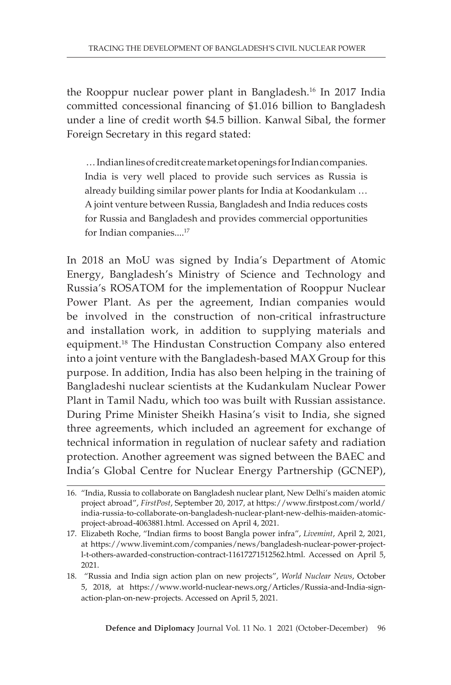the Rooppur nuclear power plant in Bangladesh.16 In 2017 India committed concessional financing of \$1.016 billion to Bangladesh under a line of credit worth \$4.5 billion. Kanwal Sibal, the former Foreign Secretary in this regard stated:

 … Indian lines of credit create market openings for Indian companies. India is very well placed to provide such services as Russia is already building similar power plants for India at Koodankulam … A joint venture between Russia, Bangladesh and India reduces costs for Russia and Bangladesh and provides commercial opportunities for Indian companies....<sup>17</sup>

In 2018 an MoU was signed by India's Department of Atomic Energy, Bangladesh's Ministry of Science and Technology and Russia's ROSATOM for the implementation of Rooppur Nuclear Power Plant. As per the agreement, Indian companies would be involved in the construction of non-critical infrastructure and installation work, in addition to supplying materials and equipment.18 The Hindustan Construction Company also entered into a joint venture with the Bangladesh-based MAX Group for this purpose. In addition, India has also been helping in the training of Bangladeshi nuclear scientists at the Kudankulam Nuclear Power Plant in Tamil Nadu, which too was built with Russian assistance. During Prime Minister Sheikh Hasina's visit to India, she signed three agreements, which included an agreement for exchange of technical information in regulation of nuclear safety and radiation protection. Another agreement was signed between the BAEC and India's Global Centre for Nuclear Energy Partnership (GCNEP),

<sup>16.</sup> "India, Russia to collaborate on Bangladesh nuclear plant, New Delhi's maiden atomic project abroad", *FirstPost*, September 20, 2017, at https://www.firstpost.com/world/ india-russia-to-collaborate-on-bangladesh-nuclear-plant-new-delhis-maiden-atomicproject-abroad-4063881.html. Accessed on April 4, 2021.

<sup>17.</sup> Elizabeth Roche, "Indian firms to boost Bangla power infra", *Livemint*, April 2, 2021, at https://www.livemint.com/companies/news/bangladesh-nuclear-power-projectl-t-others-awarded-construction-contract-11617271512562.html. Accessed on April 5, 2021.

<sup>18. &</sup>quot;Russia and India sign action plan on new projects", *World Nuclear News*, October 5, 2018, at https://www.world-nuclear-news.org/Articles/Russia-and-India-signaction-plan-on-new-projects. Accessed on April 5, 2021.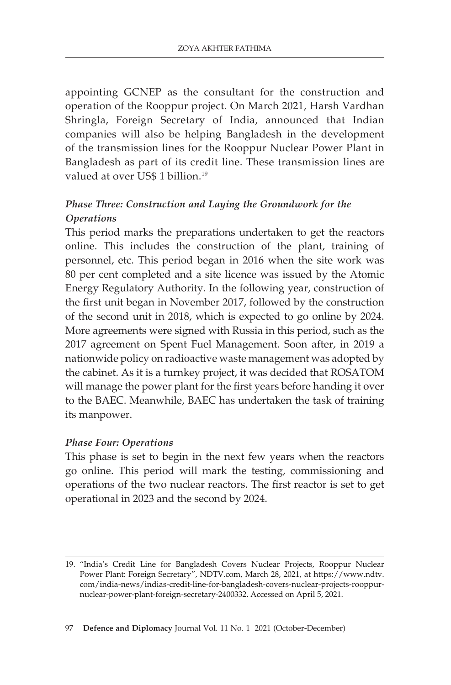appointing GCNEP as the consultant for the construction and operation of the Rooppur project. On March 2021, Harsh Vardhan Shringla, Foreign Secretary of India, announced that Indian companies will also be helping Bangladesh in the development of the transmission lines for the Rooppur Nuclear Power Plant in Bangladesh as part of its credit line. These transmission lines are valued at over US\$ 1 billion.<sup>19</sup>

# *Phase Three: Construction and Laying the Groundwork for the Operations*

This period marks the preparations undertaken to get the reactors online. This includes the construction of the plant, training of personnel, etc. This period began in 2016 when the site work was 80 per cent completed and a site licence was issued by the Atomic Energy Regulatory Authority. In the following year, construction of the first unit began in November 2017, followed by the construction of the second unit in 2018, which is expected to go online by 2024. More agreements were signed with Russia in this period, such as the 2017 agreement on Spent Fuel Management. Soon after, in 2019 a nationwide policy on radioactive waste management was adopted by the cabinet. As it is a turnkey project, it was decided that ROSATOM will manage the power plant for the first years before handing it over to the BAEC. Meanwhile, BAEC has undertaken the task of training its manpower.

## *Phase Four: Operations*

This phase is set to begin in the next few years when the reactors go online. This period will mark the testing, commissioning and operations of the two nuclear reactors. The first reactor is set to get operational in 2023 and the second by 2024.

<sup>19.</sup> "India's Credit Line for Bangladesh Covers Nuclear Projects, Rooppur Nuclear Power Plant: Foreign Secretary", NDTV.com, March 28, 2021, at https://www.ndtv. com/india-news/indias-credit-line-for-bangladesh-covers-nuclear-projects-rooppurnuclear-power-plant-foreign-secretary-2400332. Accessed on April 5, 2021.

<sup>97</sup> **Defence and Diplomacy** Journal Vol. 11 No. 1 2021 (October-December)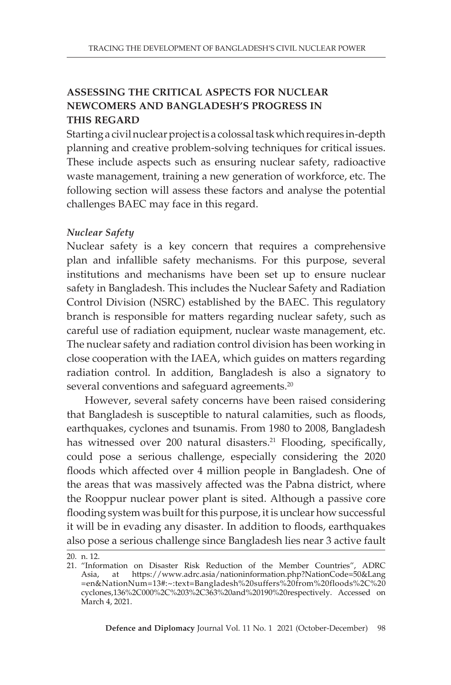## **ASSESSING THE CRITICAL ASPECTS FOR NUCLEAR NEWCOMERS AND BANGLADESH'S PROGRESS IN THIS REGARD**

Starting a civil nuclear project is a colossal task which requires in-depth planning and creative problem-solving techniques for critical issues. These include aspects such as ensuring nuclear safety, radioactive waste management, training a new generation of workforce, etc. The following section will assess these factors and analyse the potential challenges BAEC may face in this regard.

## *Nuclear Safety*

Nuclear safety is a key concern that requires a comprehensive plan and infallible safety mechanisms. For this purpose, several institutions and mechanisms have been set up to ensure nuclear safety in Bangladesh. This includes the Nuclear Safety and Radiation Control Division (NSRC) established by the BAEC. This regulatory branch is responsible for matters regarding nuclear safety, such as careful use of radiation equipment, nuclear waste management, etc. The nuclear safety and radiation control division has been working in close cooperation with the IAEA, which guides on matters regarding radiation control. In addition, Bangladesh is also a signatory to several conventions and safeguard agreements.<sup>20</sup>

However, several safety concerns have been raised considering that Bangladesh is susceptible to natural calamities, such as floods, earthquakes, cyclones and tsunamis. From 1980 to 2008, Bangladesh has witnessed over 200 natural disasters.<sup>21</sup> Flooding, specifically, could pose a serious challenge, especially considering the 2020 floods which affected over 4 million people in Bangladesh. One of the areas that was massively affected was the Pabna district, where the Rooppur nuclear power plant is sited. Although a passive core flooding system was built for this purpose, it is unclear how successful it will be in evading any disaster. In addition to floods, earthquakes also pose a serious challenge since Bangladesh lies near 3 active fault

20. n. 12.

<sup>21.</sup> "Information on Disaster Risk Reduction of the Member Countries", ADRC Asia, at https://www.adrc.asia/nationinformation.php?NationCode=50&Lang =en&NationNum=13#:~:text=Bangladesh%20suffers%20from%20floods%2C%20 cyclones,136%2C000%2C%203%2C363%20and%20190%20respectively. Accessed on March 4, 2021.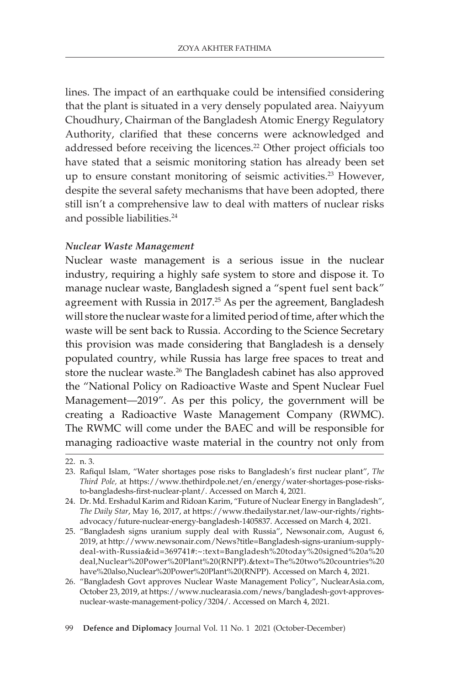lines. The impact of an earthquake could be intensified considering that the plant is situated in a very densely populated area. Naiyyum Choudhury, Chairman of the Bangladesh Atomic Energy Regulatory Authority, clarified that these concerns were acknowledged and addressed before receiving the licences.<sup>22</sup> Other project officials too have stated that a seismic monitoring station has already been set up to ensure constant monitoring of seismic activities.<sup>23</sup> However, despite the several safety mechanisms that have been adopted, there still isn't a comprehensive law to deal with matters of nuclear risks and possible liabilities.<sup>24</sup>

## *Nuclear Waste Management*

Nuclear waste management is a serious issue in the nuclear industry, requiring a highly safe system to store and dispose it. To manage nuclear waste, Bangladesh signed a "spent fuel sent back" agreement with Russia in 2017.<sup>25</sup> As per the agreement, Bangladesh will store the nuclear waste for a limited period of time, after which the waste will be sent back to Russia. According to the Science Secretary this provision was made considering that Bangladesh is a densely populated country, while Russia has large free spaces to treat and store the nuclear waste.26 The Bangladesh cabinet has also approved the "National Policy on Radioactive Waste and Spent Nuclear Fuel Management—2019". As per this policy, the government will be creating a Radioactive Waste Management Company (RWMC). The RWMC will come under the BAEC and will be responsible for managing radioactive waste material in the country not only from

99 **Defence and Diplomacy** Journal Vol. 11 No. 1 2021 (October-December)

<sup>22.</sup> n. 3.

<sup>23.</sup> Rafiqul Islam, "Water shortages pose risks to Bangladesh's first nuclear plant", *The Third Pole,* at https://www.thethirdpole.net/en/energy/water-shortages-pose-risksto-bangladeshs-first-nuclear-plant/. Accessed on March 4, 2021.

<sup>24.</sup> Dr. Md. Ershadul Karim and Ridoan Karim, "Future of Nuclear Energy in Bangladesh", *The Daily Star*, May 16, 2017, at https://www.thedailystar.net/law-our-rights/rightsadvocacy/future-nuclear-energy-bangladesh-1405837. Accessed on March 4, 2021.

<sup>25.</sup> "Bangladesh signs uranium supply deal with Russia", Newsonair.com, August 6, 2019, at http://www.newsonair.com/News?title=Bangladesh-signs-uranium-supplydeal-with-Russia&id=369741#:~:text=Bangladesh%20today%20signed%20a%20 deal,Nuclear%20Power%20Plant%20(RNPP).&text=The%20two%20countries%20 have%20also,Nuclear%20Power%20Plant%20(RNPP). Accessed on March 4, 2021.

<sup>26.</sup> "Bangladesh Govt approves Nuclear Waste Management Policy", NuclearAsia.com, October 23, 2019, at https://www.nuclearasia.com/news/bangladesh-govt-approvesnuclear-waste-management-policy/3204/. Accessed on March 4, 2021.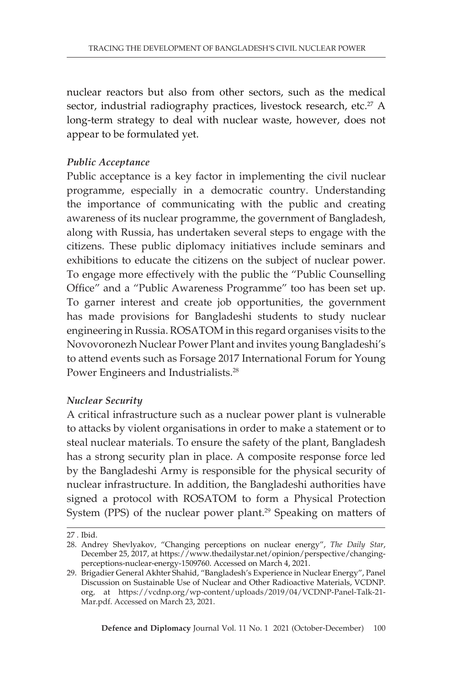nuclear reactors but also from other sectors, such as the medical sector, industrial radiography practices, livestock research, etc.<sup>27</sup> A long-term strategy to deal with nuclear waste, however, does not appear to be formulated yet.

## *Public Acceptance*

Public acceptance is a key factor in implementing the civil nuclear programme, especially in a democratic country. Understanding the importance of communicating with the public and creating awareness of its nuclear programme, the government of Bangladesh, along with Russia, has undertaken several steps to engage with the citizens. These public diplomacy initiatives include seminars and exhibitions to educate the citizens on the subject of nuclear power. To engage more effectively with the public the "Public Counselling Office" and a "Public Awareness Programme" too has been set up. To garner interest and create job opportunities, the government has made provisions for Bangladeshi students to study nuclear engineering in Russia. ROSATOM in this regard organises visits to the Novovoronezh Nuclear Power Plant and invites young Bangladeshi's to attend events such as Forsage 2017 International Forum for Young Power Engineers and Industrialists.28

## *Nuclear Security*

A critical infrastructure such as a nuclear power plant is vulnerable to attacks by violent organisations in order to make a statement or to steal nuclear materials. To ensure the safety of the plant, Bangladesh has a strong security plan in place. A composite response force led by the Bangladeshi Army is responsible for the physical security of nuclear infrastructure. In addition, the Bangladeshi authorities have signed a protocol with ROSATOM to form a Physical Protection System (PPS) of the nuclear power plant.<sup>29</sup> Speaking on matters of

<sup>27 .</sup> Ibid.

<sup>28.</sup> Andrey Shevlyakov, "Changing perceptions on nuclear energy", *The Daily Star*, December 25, 2017, at https://www.thedailystar.net/opinion/perspective/changingperceptions-nuclear-energy-1509760. Accessed on March 4, 2021.

<sup>29.</sup> Brigadier General Akhter Shahid, "Bangladesh's Experience in Nuclear Energy", Panel Discussion on Sustainable Use of Nuclear and Other Radioactive Materials, VCDNP. org*,* at https://vcdnp.org/wp-content/uploads/2019/04/VCDNP-Panel-Talk-21- Mar.pdf. Accessed on March 23, 2021.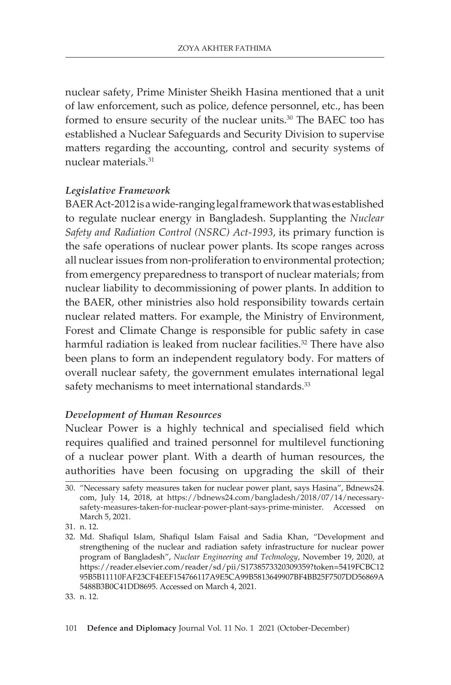nuclear safety, Prime Minister Sheikh Hasina mentioned that a unit of law enforcement, such as police, defence personnel, etc., has been formed to ensure security of the nuclear units.30 The BAEC too has established a Nuclear Safeguards and Security Division to supervise matters regarding the accounting, control and security systems of nuclear materials<sup>31</sup>

## *Legislative Framework*

BAER Act-2012 is a wide-ranging legal framework that was established to regulate nuclear energy in Bangladesh. Supplanting the *Nuclear Safety and Radiation Control (NSRC) Act-1993*, its primary function is the safe operations of nuclear power plants. Its scope ranges across all nuclear issues from non-proliferation to environmental protection; from emergency preparedness to transport of nuclear materials; from nuclear liability to decommissioning of power plants. In addition to the BAER, other ministries also hold responsibility towards certain nuclear related matters. For example, the Ministry of Environment, Forest and Climate Change is responsible for public safety in case harmful radiation is leaked from nuclear facilities.<sup>32</sup> There have also been plans to form an independent regulatory body. For matters of overall nuclear safety, the government emulates international legal safety mechanisms to meet international standards.<sup>33</sup>

#### *Development of Human Resources*

Nuclear Power is a highly technical and specialised field which requires qualified and trained personnel for multilevel functioning of a nuclear power plant. With a dearth of human resources, the authorities have been focusing on upgrading the skill of their

31. n. 12.

<sup>30.</sup> "Necessary safety measures taken for nuclear power plant, says Hasina", Bdnews24. com, July 14, 2018, at https://bdnews24.com/bangladesh/2018/07/14/necessarysafety-measures-taken-for-nuclear-power-plant-says-prime-minister. Accessed on March 5, 2021.

<sup>32.</sup> Md. Shafiqul Islam, Shafiqul Islam Faisal and Sadia Khan, "Development and strengthening of the nuclear and radiation safety infrastructure for nuclear power program of Bangladesh", *Nuclear Engineering and Technology*, November 19, 2020, at https://reader.elsevier.com/reader/sd/pii/S1738573320309359?token=5419FCBC12 95B5B11110FAF23CF4EEF154766117A9E5CA99B5813649907BF4BB25F7507DD56869A 5488B3B0C41DD8695. Accessed on March 4, 2021.

<sup>33.</sup> n. 12.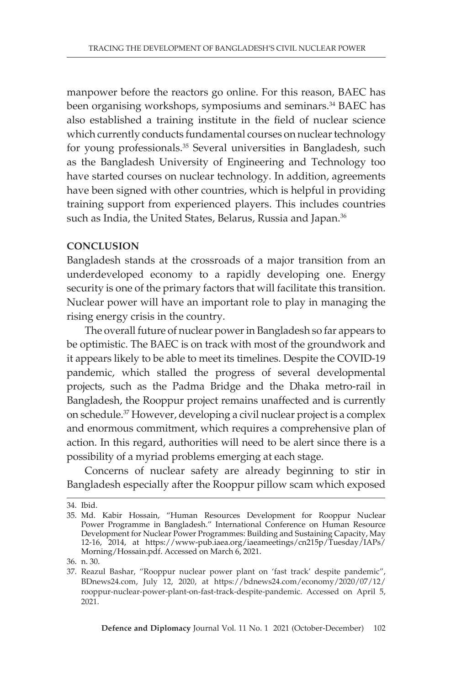manpower before the reactors go online. For this reason, BAEC has been organising workshops, symposiums and seminars.<sup>34</sup> BAEC has also established a training institute in the field of nuclear science which currently conducts fundamental courses on nuclear technology for young professionals.<sup>35</sup> Several universities in Bangladesh, such as the Bangladesh University of Engineering and Technology too have started courses on nuclear technology. In addition, agreements have been signed with other countries, which is helpful in providing training support from experienced players. This includes countries such as India, the United States, Belarus, Russia and Japan.<sup>36</sup>

## **CONCLUSION**

Bangladesh stands at the crossroads of a major transition from an underdeveloped economy to a rapidly developing one. Energy security is one of the primary factors that will facilitate this transition. Nuclear power will have an important role to play in managing the rising energy crisis in the country.

The overall future of nuclear power in Bangladesh so far appears to be optimistic. The BAEC is on track with most of the groundwork and it appears likely to be able to meet its timelines. Despite the COVID-19 pandemic, which stalled the progress of several developmental projects, such as the Padma Bridge and the Dhaka metro-rail in Bangladesh, the Rooppur project remains unaffected and is currently on schedule.37 However, developing a civil nuclear project is a complex and enormous commitment, which requires a comprehensive plan of action. In this regard, authorities will need to be alert since there is a possibility of a myriad problems emerging at each stage.

Concerns of nuclear safety are already beginning to stir in Bangladesh especially after the Rooppur pillow scam which exposed

<sup>34.</sup> Ibid.

<sup>35.</sup> Md. Kabir Hossain, "Human Resources Development for Rooppur Nuclear Power Programme in Bangladesh." International Conference on Human Resource Development for Nuclear Power Programmes: Building and Sustaining Capacity, May 12-16, 2014, at https://www-pub.iaea.org/iaeameetings/cn215p/Tuesday/IAPs/ Morning/Hossain.pdf. Accessed on March 6, 2021.

<sup>36.</sup> n. 30.

<sup>37.</sup> Reazul Bashar, "Rooppur nuclear power plant on 'fast track' despite pandemic", BDnews24.com, July 12, 2020, at https://bdnews24.com/economy/2020/07/12/ rooppur-nuclear-power-plant-on-fast-track-despite-pandemic. Accessed on April 5, 2021.